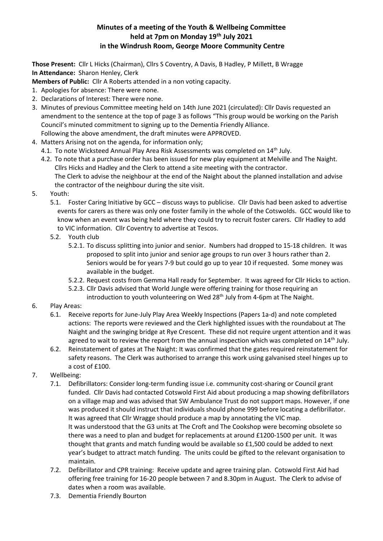## **Minutes of a meeting of the Youth & Wellbeing Committee held at 7pm on Monday 19th July 2021 in the Windrush Room, George Moore Community Centre**

**Those Present:** Cllr L Hicks (Chairman), Cllrs S Coventry, A Davis, B Hadley, P Millett, B Wragge **In Attendance:** Sharon Henley, Clerk

**Members of Public:** Cllr A Roberts attended in a non voting capacity.

- 1. Apologies for absence: There were none.
- 2. Declarations of Interest: There were none.
- 3. Minutes of previous Committee meeting held on 14th June 2021 (circulated): Cllr Davis requested an amendment to the sentence at the top of page 3 as follows "This group would be working on the Parish Council's minuted commitment to signing up to the Dementia Friendly Alliance. Following the above amendment, the draft minutes were APPROVED.
- 4. Matters Arising not on the agenda, for information only;
	- 4.1. To note Wicksteed Annual Play Area Risk Assessments was completed on 14<sup>th</sup> July.
	- 4.2. To note that a purchase order has been issued for new play equipment at Melville and The Naight. Cllrs Hicks and Hadley and the Clerk to attend a site meeting with the contractor. The Clerk to advise the neighbour at the end of the Naight about the planned installation and advise the contractor of the neighbour during the site visit.
- 5. Youth:
	- 5.1. Foster Caring Initiative by GCC discuss ways to publicise. Cllr Davis had been asked to advertise events for carers as there was only one foster family in the whole of the Cotswolds. GCC would like to know when an event was being held where they could try to recruit foster carers. Cllr Hadley to add to VIC information. Cllr Coventry to advertise at Tescos.
	- 5.2. Youth club
		- 5.2.1. To discuss splitting into junior and senior. Numbers had dropped to 15-18 children. It was proposed to split into junior and senior age groups to run over 3 hours rather than 2. Seniors would be for years 7-9 but could go up to year 10 if requested. Some money was available in the budget.
		- 5.2.2. Request costs from Gemma Hall ready for September. It was agreed for Cllr Hicks to action.
		- 5.2.3. Cllr Davis advised that World Jungle were offering training for those requiring an introduction to youth volunteering on Wed 28<sup>th</sup> July from 4-6pm at The Naight.
- 6. Play Areas:
	- 6.1. Receive reports for June-July Play Area Weekly Inspections (Papers 1a-d) and note completed actions: The reports were reviewed and the Clerk highlighted issues with the roundabout at The Naight and the swinging bridge at Rye Crescent. These did not require urgent attention and it was agreed to wait to review the report from the annual inspection which was completed on 14<sup>th</sup> July.
	- 6.2. Reinstatement of gates at The Naight: It was confirmed that the gates required reinstatement for safety reasons. The Clerk was authorised to arrange this work using galvanised steel hinges up to a cost of £100.
- 7. Wellbeing:
	- 7.1. Defibrillators: Consider long-term funding issue i.e. community cost-sharing or Council grant funded. Cllr Davis had contacted Cotswold First Aid about producing a map showing defibrillators on a village map and was advised that SW Ambulance Trust do not support maps. However, if one was produced it should instruct that individuals should phone 999 before locating a defibrillator. It was agreed that Cllr Wragge should produce a map by annotating the VIC map. It was understood that the G3 units at The Croft and The Cookshop were becoming obsolete so there was a need to plan and budget for replacements at around £1200-1500 per unit. It was thought that grants and match funding would be available so £1,500 could be added to next year's budget to attract match funding. The units could be gifted to the relevant organisation to maintain.
	- 7.2. Defibrillator and CPR training: Receive update and agree training plan. Cotswold First Aid had offering free training for 16-20 people between 7 and 8.30pm in August. The Clerk to advise of dates when a room was available.
	- 7.3. Dementia Friendly Bourton